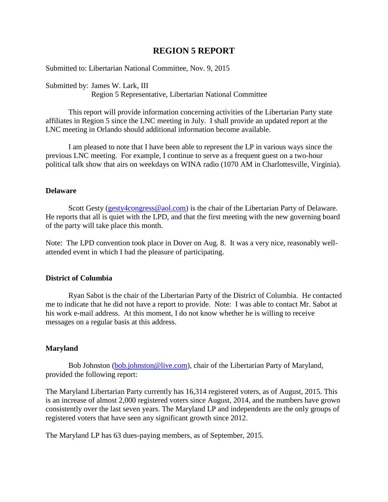# **REGION 5 REPORT**

Submitted to: Libertarian National Committee, Nov. 9, 2015

Submitted by: James W. Lark, III Region 5 Representative, Libertarian National Committee

This report will provide information concerning activities of the Libertarian Party state affiliates in Region 5 since the LNC meeting in July. I shall provide an updated report at the LNC meeting in Orlando should additional information become available.

I am pleased to note that I have been able to represent the LP in various ways since the previous LNC meeting. For example, I continue to serve as a frequent guest on a two-hour political talk show that airs on weekdays on WINA radio (1070 AM in Charlottesville, Virginia).

#### **Delaware**

Scott Gesty [\(gesty4congress@aol.com\)](mailto:gesty4congress@aol.com) is the chair of the Libertarian Party of Delaware. He reports that all is quiet with the LPD, and that the first meeting with the new governing board of the party will take place this month.

Note: The LPD convention took place in Dover on Aug. 8. It was a very nice, reasonably wellattended event in which I had the pleasure of participating.

#### **District of Columbia**

Ryan Sabot is the chair of the Libertarian Party of the District of Columbia. He contacted me to indicate that he did not have a report to provide. Note: I was able to contact Mr. Sabot at his work e-mail address. At this moment, I do not know whether he is willing to receive messages on a regular basis at this address.

### **Maryland**

Bob Johnston [\(bob.johnston@live.com\)](mailto:bob.johnston@live.com), chair of the Libertarian Party of Maryland, provided the following report:

The Maryland Libertarian Party currently has 16,314 registered voters, as of August, 2015. This is an increase of almost 2,000 registered voters since August, 2014, and the numbers have grown consistently over the last seven years. The Maryland LP and independents are the only groups of registered voters that have seen any significant growth since 2012.

The Maryland LP has 63 dues-paying members, as of September, 2015.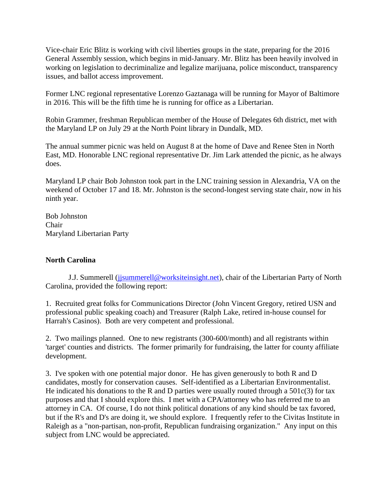Vice-chair Eric Blitz is working with civil liberties groups in the state, preparing for the 2016 General Assembly session, which begins in mid-January. Mr. Blitz has been heavily involved in working on legislation to decriminalize and legalize marijuana, police misconduct, transparency issues, and ballot access improvement.

Former LNC regional representative Lorenzo Gaztanaga will be running for Mayor of Baltimore in 2016. This will be the fifth time he is running for office as a Libertarian.

Robin Grammer, freshman Republican member of the House of Delegates 6th district, met with the Maryland LP on July 29 at the North Point library in Dundalk, MD.

The annual summer picnic was held on August 8 at the home of Dave and Renee Sten in North East, MD. Honorable LNC regional representative Dr. Jim Lark attended the picnic, as he always does.

Maryland LP chair Bob Johnston took part in the LNC training session in Alexandria, VA on the weekend of October 17 and 18. Mr. Johnston is the second-longest serving state chair, now in his ninth year.

Bob Johnston Chair Maryland Libertarian Party

## **North Carolina**

J.J. Summerell (*jjsummerell@worksiteinsight.net*), chair of the Libertarian Party of North Carolina, provided the following report:

1. Recruited great folks for Communications Director (John Vincent Gregory, retired USN and professional public speaking coach) and Treasurer (Ralph Lake, retired in-house counsel for Harrah's Casinos). Both are very competent and professional.

2. Two mailings planned. One to new registrants (300-600/month) and all registrants within 'target' counties and districts. The former primarily for fundraising, the latter for county affiliate development.

3. I've spoken with one potential major donor. He has given generously to both R and D candidates, mostly for conservation causes. Self-identified as a Libertarian Environmentalist. He indicated his donations to the R and D parties were usually routed through a  $501c(3)$  for tax purposes and that I should explore this. I met with a CPA/attorney who has referred me to an attorney in CA. Of course, I do not think political donations of any kind should be tax favored, but if the R's and D's are doing it, we should explore. I frequently refer to the Civitas Institute in Raleigh as a "non-partisan, non-profit, Republican fundraising organization." Any input on this subject from LNC would be appreciated.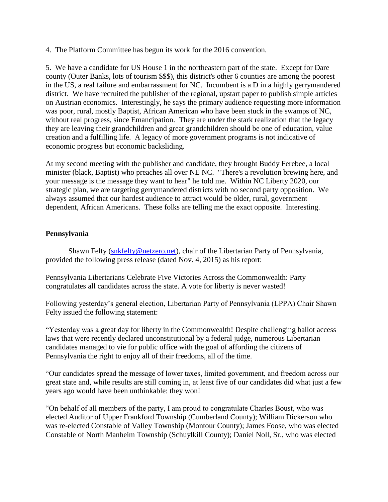4. The Platform Committee has begun its work for the 2016 convention.

5. We have a candidate for US House 1 in the northeastern part of the state. Except for Dare county (Outer Banks, lots of tourism \$\$\$), this district's other 6 counties are among the poorest in the US, a real failure and embarrassment for NC. Incumbent is a D in a highly gerrymandered district. We have recruited the publisher of the regional, upstart paper to publish simple articles on Austrian economics. Interestingly, he says the primary audience requesting more information was poor, rural, mostly Baptist, African American who have been stuck in the swamps of NC, without real progress, since Emancipation. They are under the stark realization that the legacy they are leaving their grandchildren and great grandchildren should be one of education, value creation and a fulfilling life. A legacy of more government programs is not indicative of economic progress but economic backsliding.

At my second meeting with the publisher and candidate, they brought Buddy Ferebee, a local minister (black, Baptist) who preaches all over NE NC. "There's a revolution brewing here, and your message is the message they want to hear" he told me. Within NC Liberty 2020, our strategic plan, we are targeting gerrymandered districts with no second party opposition. We always assumed that our hardest audience to attract would be older, rural, government dependent, African Americans. These folks are telling me the exact opposite. Interesting.

### **Pennsylvania**

Shawn Felty [\(snkfelty@netzero.net\)](mailto:snkfelty@netzero.net), chair of the Libertarian Party of Pennsylvania, provided the following press release (dated Nov. 4, 2015) as his report:

Pennsylvania Libertarians Celebrate Five Victories Across the Commonwealth: Party congratulates all candidates across the state. A vote for liberty is never wasted!

Following yesterday's general election, Libertarian Party of Pennsylvania (LPPA) Chair Shawn Felty issued the following statement:

"Yesterday was a great day for liberty in the Commonwealth! Despite challenging ballot access laws that were recently declared unconstitutional by a federal judge, numerous Libertarian candidates managed to vie for public office with the goal of affording the citizens of Pennsylvania the right to enjoy all of their freedoms, all of the time.

"Our candidates spread the message of lower taxes, limited government, and freedom across our great state and, while results are still coming in, at least five of our candidates did what just a few years ago would have been unthinkable: they won!

"On behalf of all members of the party, I am proud to congratulate Charles Boust, who was elected Auditor of Upper Frankford Township (Cumberland County); William Dickerson who was re-elected Constable of Valley Township (Montour County); James Foose, who was elected Constable of North Manheim Township (Schuylkill County); Daniel Noll, Sr., who was elected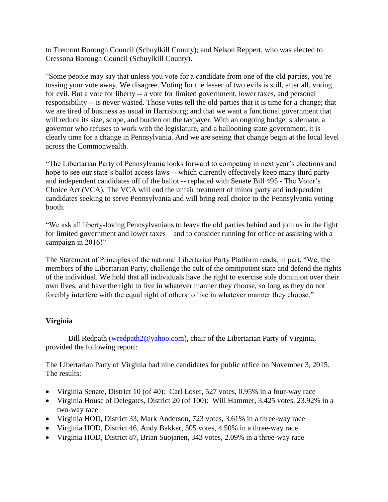to Tremont Borough Council (Schuylkill County); and Nelson Reppert, who was elected to Cressona Borough Council (Schuylkill County).

"Some people may say that unless you vote for a candidate from one of the old parties, you're tossing your vote away. We disagree. Voting for the lesser of two evils is still, after all, voting for evil. But a vote for liberty -- a vote for limited government, lower taxes, and personal responsibility -- is never wasted. Those votes tell the old parties that it is time for a change; that we are tired of business as usual in Harrisburg; and that we want a functional government that will reduce its size, scope, and burden on the taxpayer. With an ongoing budget stalemate, a governor who refuses to work with the legislature, and a ballooning state government, it is clearly time for a change in Pennsylvania. And we are seeing that change begin at the local level across the Commonwealth.

"The Libertarian Party of Pennsylvania looks forward to competing in next year's elections and hope to see our state's ballot access laws -- which currently effectively keep many third party and independent candidates off of the ballot -- replaced with Senate Bill 495 - The Voter's Choice Act (VCA). The VCA will end the unfair treatment of minor party and independent candidates seeking to serve Pennsylvania and will bring real choice to the Pennsylvania voting booth.

"We ask all liberty-loving Pennsylvanians to leave the old parties behind and join us in the fight for limited government and lower taxes – and to consider running for office or assisting with a campaign in 2016!"

The Statement of Principles of the national Libertarian Party Platform reads, in part, "We, the members of the Libertarian Party, challenge the cult of the omnipotent state and defend the rights of the individual. We hold that all individuals have the right to exercise sole dominion over their own lives, and have the right to live in whatever manner they choose, so long as they do not forcibly interfere with the equal right of others to live in whatever manner they choose."

## **Virginia**

Bill Redpath [\(wredpath2@yahoo.com\)](mailto:wredpath2@yahoo.com), chair of the Libertarian Party of Virginia, provided the following report:

The Libertarian Party of Virginia had nine candidates for public office on November 3, 2015. The results:

- Virginia Senate, District 10 (of 40): Carl Loser, 527 votes, 0.95% in a four-way race
- Virginia House of Delegates, District 20 (of 100): Will Hammer, 3,425 votes, 23.92% in a two-way race
- Virginia HOD, District 33, Mark Anderson, 723 votes, 3.61% in a three-way race
- Virginia HOD, District 46, Andy Bakker, 505 votes, 4.50% in a three-way race
- Virginia HOD, District 87, Brian Suojanen, 343 votes, 2.09% in a three-way race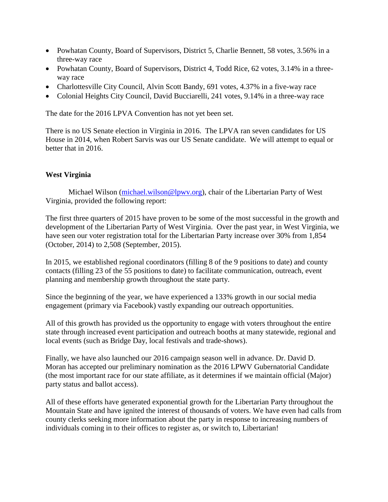- Powhatan County, Board of Supervisors, District 5, Charlie Bennett, 58 votes, 3.56% in a three-way race
- Powhatan County, Board of Supervisors, District 4, Todd Rice, 62 votes, 3.14% in a threeway race
- Charlottesville City Council, Alvin Scott Bandy, 691 votes, 4.37% in a five-way race
- Colonial Heights City Council, David Bucciarelli, 241 votes, 9.14% in a three-way race

The date for the 2016 LPVA Convention has not yet been set.

There is no US Senate election in Virginia in 2016. The LPVA ran seven candidates for US House in 2014, when Robert Sarvis was our US Senate candidate. We will attempt to equal or better that in 2016.

### **West Virginia**

Michael Wilson [\(michael.wilson@lpwv.org\)](mailto:michael.wilson@lpwv.org), chair of the Libertarian Party of West Virginia, provided the following report:

The first three quarters of 2015 have proven to be some of the most successful in the growth and development of the Libertarian Party of West Virginia. Over the past year, in West Virginia, we have seen our voter registration total for the Libertarian Party increase over 30% from 1,854 (October, 2014) to 2,508 (September, 2015).

In 2015, we established regional coordinators (filling 8 of the 9 positions to date) and county contacts (filling 23 of the 55 positions to date) to facilitate communication, outreach, event planning and membership growth throughout the state party.

Since the beginning of the year, we have experienced a 133% growth in our social media engagement (primary via Facebook) vastly expanding our outreach opportunities.

All of this growth has provided us the opportunity to engage with voters throughout the entire state through increased event participation and outreach booths at many statewide, regional and local events (such as Bridge Day, local festivals and trade-shows).

Finally, we have also launched our 2016 campaign season well in advance. [Dr. David D.](http://lpwv.org/david_moran)  [Moran](http://lpwv.org/david_moran) has accepted our preliminary nomination as the 2016 LPWV Gubernatorial Candidate (the most important race for our state affiliate, as it determines if we maintain official (Major) party status and ballot access).

All of these efforts have generated exponential growth for the Libertarian Party throughout the Mountain State and have ignited the interest of thousands of voters. We have even had calls from county clerks seeking more information about the party in response to increasing numbers of individuals coming in to their offices to register as, or switch to, Libertarian!